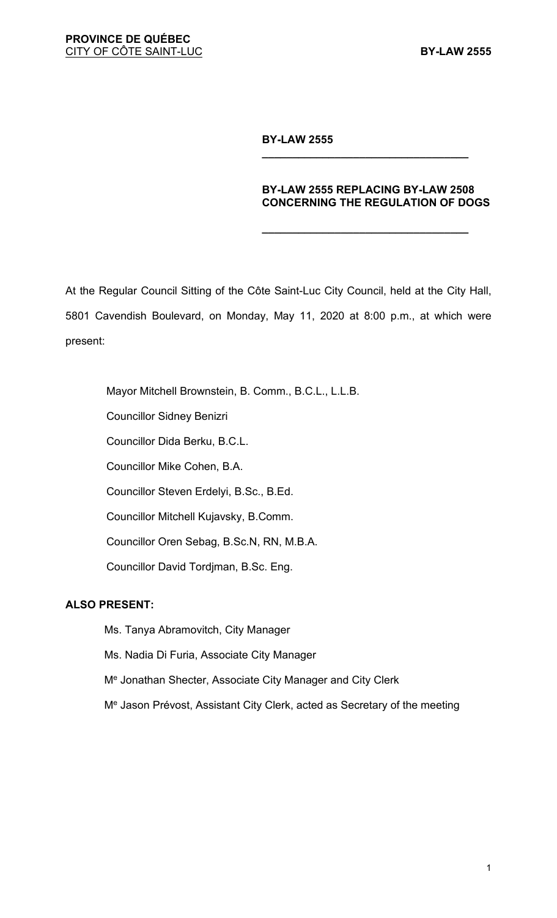### **BY-LAW 2555**

#### **BY-LAW 2555 REPLACING BY-LAW 2508 CONCERNING THE REGULATION OF DOGS**

**\_\_\_\_\_\_\_\_\_\_\_\_\_\_\_\_\_\_\_\_\_\_\_\_\_\_\_\_\_\_\_\_\_\_**

**\_\_\_\_\_\_\_\_\_\_\_\_\_\_\_\_\_\_\_\_\_\_\_\_\_\_\_\_\_\_\_\_\_\_**

At the Regular Council Sitting of the Côte Saint-Luc City Council, held at the City Hall, 5801 Cavendish Boulevard, on Monday, May 11, 2020 at 8:00 p.m., at which were present:

Mayor Mitchell Brownstein, B. Comm., B.C.L., L.L.B. Councillor Sidney Benizri Councillor Dida Berku, B.C.L. Councillor Mike Cohen, B.A. Councillor Steven Erdelyi, B.Sc., B.Ed. Councillor Mitchell Kujavsky, B.Comm. Councillor Oren Sebag, B.Sc.N, RN, M.B.A. Councillor David Tordjman, B.Sc. Eng.

### **ALSO PRESENT:**

Ms. Tanya Abramovitch, City Manager

Ms. Nadia Di Furia, Associate City Manager

Me Jonathan Shecter, Associate City Manager and City Clerk

Me Jason Prévost, Assistant City Clerk, acted as Secretary of the meeting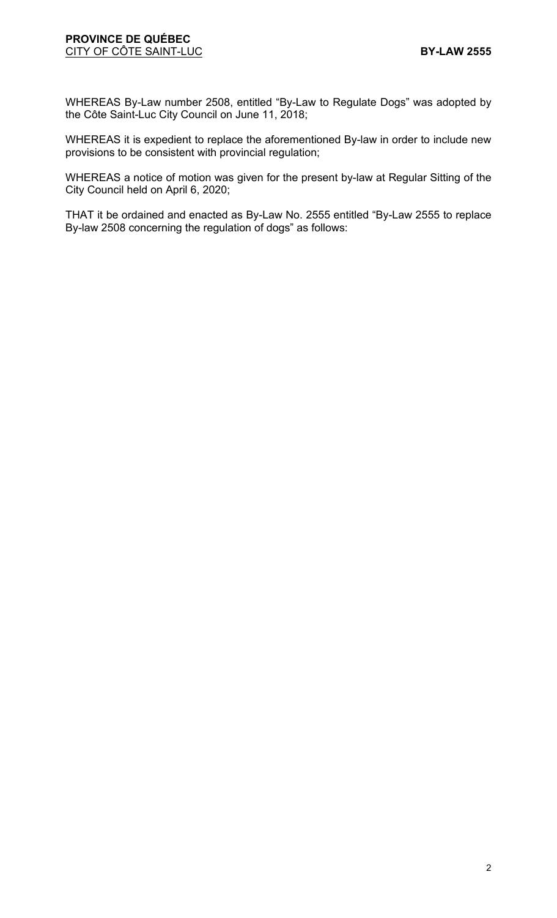#### **PROVINCE DE QUÉBEC CITY OF CÔTE SAINT-LUC <b>BY-LAW 2555**

WHEREAS By-Law number 2508, entitled "By-Law to Regulate Dogs" was adopted by the Côte Saint-Luc City Council on June 11, 2018;

WHEREAS it is expedient to replace the aforementioned By-law in order to include new provisions to be consistent with provincial regulation;

WHEREAS a notice of motion was given for the present by-law at Regular Sitting of the City Council held on April 6, 2020;

THAT it be ordained and enacted as By-Law No. 2555 entitled "By-Law 2555 to replace By-law 2508 concerning the regulation of dogs" as follows: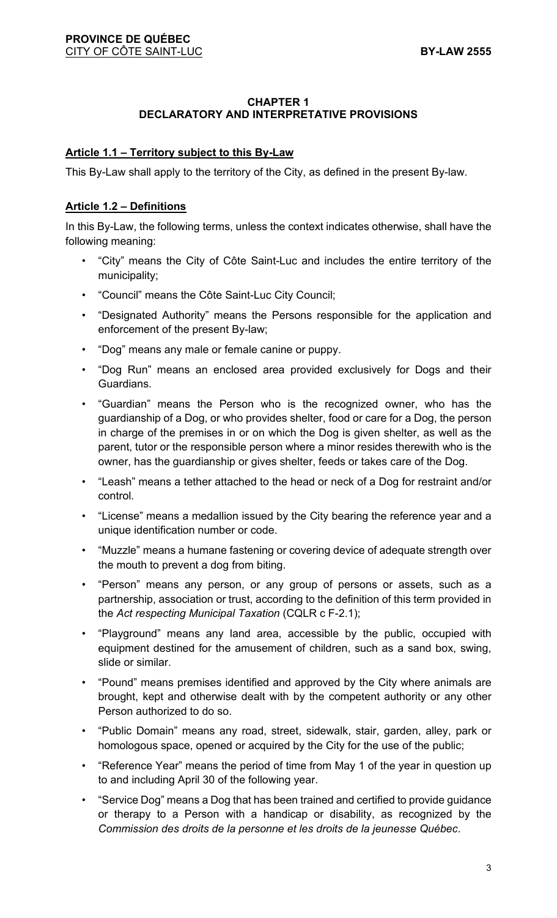### **CHAPTER 1 DECLARATORY AND INTERPRETATIVE PROVISIONS**

# **Article 1.1 – Territory subject to this By-Law**

This By-Law shall apply to the territory of the City, as defined in the present By-law.

### **Article 1.2 – Definitions**

In this By-Law, the following terms, unless the context indicates otherwise, shall have the following meaning:

- "City" means the City of Côte Saint-Luc and includes the entire territory of the municipality;
- "Council" means the Côte Saint-Luc City Council;
- "Designated Authority" means the Persons responsible for the application and enforcement of the present By-law;
- "Dog" means any male or female canine or puppy.
- "Dog Run" means an enclosed area provided exclusively for Dogs and their Guardians.
- "Guardian" means the Person who is the recognized owner, who has the guardianship of a Dog, or who provides shelter, food or care for a Dog, the person in charge of the premises in or on which the Dog is given shelter, as well as the parent, tutor or the responsible person where a minor resides therewith who is the owner, has the guardianship or gives shelter, feeds or takes care of the Dog.
- "Leash" means a tether attached to the head or neck of a Dog for restraint and/or control.
- "License" means a medallion issued by the City bearing the reference year and a unique identification number or code.
- "Muzzle" means a humane fastening or covering device of adequate strength over the mouth to prevent a dog from biting.
- "Person" means any person, or any group of persons or assets, such as a partnership, association or trust, according to the definition of this term provided in the *Act respecting Municipal Taxation* (CQLR c F-2.1);
- "Playground" means any land area, accessible by the public, occupied with equipment destined for the amusement of children, such as a sand box, swing, slide or similar.
- "Pound" means premises identified and approved by the City where animals are brought, kept and otherwise dealt with by the competent authority or any other Person authorized to do so.
- "Public Domain" means any road, street, sidewalk, stair, garden, alley, park or homologous space, opened or acquired by the City for the use of the public;
- "Reference Year" means the period of time from May 1 of the year in question up to and including April 30 of the following year.
- "Service Dog" means a Dog that has been trained and certified to provide guidance or therapy to a Person with a handicap or disability, as recognized by the *Commission des droits de la personne et les droits de la jeunesse Québec*.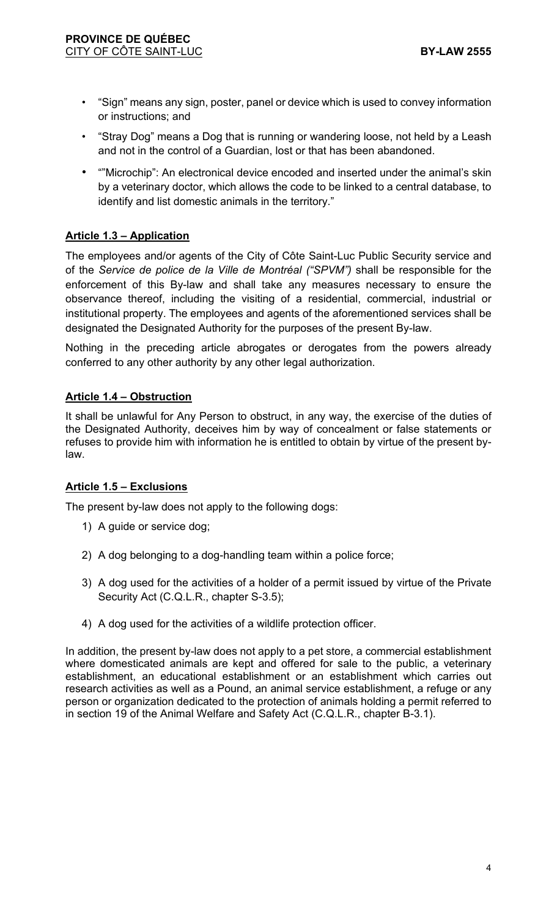- "Sign" means any sign, poster, panel or device which is used to convey information or instructions; and
- "Stray Dog" means a Dog that is running or wandering loose, not held by a Leash and not in the control of a Guardian, lost or that has been abandoned.
- ""Microchip": An electronical device encoded and inserted under the animal's skin by a veterinary doctor, which allows the code to be linked to a central database, to identify and list domestic animals in the territory."

# **Article 1.3 – Application**

The employees and/or agents of the City of Côte Saint-Luc Public Security service and of the *Service de police de la Ville de Montréal ("SPVM")* shall be responsible for the enforcement of this By-law and shall take any measures necessary to ensure the observance thereof, including the visiting of a residential, commercial, industrial or institutional property. The employees and agents of the aforementioned services shall be designated the Designated Authority for the purposes of the present By-law.

Nothing in the preceding article abrogates or derogates from the powers already conferred to any other authority by any other legal authorization.

# **Article 1.4 – Obstruction**

It shall be unlawful for Any Person to obstruct, in any way, the exercise of the duties of the Designated Authority, deceives him by way of concealment or false statements or refuses to provide him with information he is entitled to obtain by virtue of the present bylaw.

#### **Article 1.5 – Exclusions**

The present by-law does not apply to the following dogs:

- 1) A guide or service dog;
- 2) A dog belonging to a dog-handling team within a police force;
- 3) A dog used for the activities of a holder of a permit issued by virtue of the Private Security Act (C.Q.L.R., chapter S-3.5);
- 4) A dog used for the activities of a wildlife protection officer.

In addition, the present by-law does not apply to a pet store, a commercial establishment where domesticated animals are kept and offered for sale to the public, a veterinary establishment, an educational establishment or an establishment which carries out research activities as well as a Pound, an animal service establishment, a refuge or any person or organization dedicated to the protection of animals holding a permit referred to in section 19 of the Animal Welfare and Safety Act (C.Q.L.R., chapter B-3.1).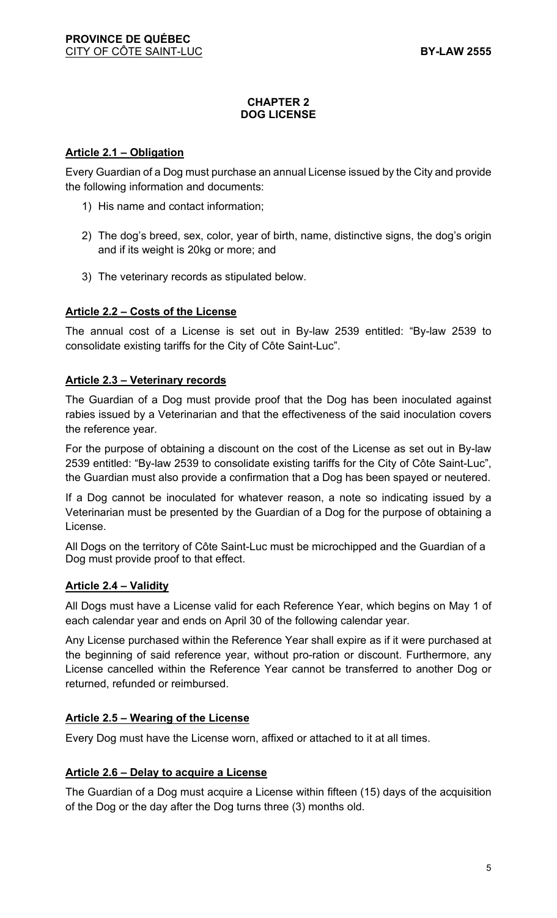### **CHAPTER 2 DOG LICENSE**

### **Article 2.1 – Obligation**

Every Guardian of a Dog must purchase an annual License issued by the City and provide the following information and documents:

- 1) His name and contact information;
- 2) The dog's breed, sex, color, year of birth, name, distinctive signs, the dog's origin and if its weight is 20kg or more; and
- 3) The veterinary records as stipulated below.

# **Article 2.2 – Costs of the License**

The annual cost of a License is set out in By-law 2539 entitled: "By-law 2539 to consolidate existing tariffs for the City of Côte Saint-Luc".

### **Article 2.3 – Veterinary records**

The Guardian of a Dog must provide proof that the Dog has been inoculated against rabies issued by a Veterinarian and that the effectiveness of the said inoculation covers the reference year.

For the purpose of obtaining a discount on the cost of the License as set out in By-law 2539 entitled: "By-law 2539 to consolidate existing tariffs for the City of Côte Saint-Luc", the Guardian must also provide a confirmation that a Dog has been spayed or neutered.

If a Dog cannot be inoculated for whatever reason, a note so indicating issued by a Veterinarian must be presented by the Guardian of a Dog for the purpose of obtaining a License.

All Dogs on the territory of Côte Saint-Luc must be microchipped and the Guardian of a Dog must provide proof to that effect.

#### **Article 2.4 – Validity**

All Dogs must have a License valid for each Reference Year, which begins on May 1 of each calendar year and ends on April 30 of the following calendar year.

Any License purchased within the Reference Year shall expire as if it were purchased at the beginning of said reference year, without pro-ration or discount. Furthermore, any License cancelled within the Reference Year cannot be transferred to another Dog or returned, refunded or reimbursed.

#### **Article 2.5 – Wearing of the License**

Every Dog must have the License worn, affixed or attached to it at all times.

#### **Article 2.6 – Delay to acquire a License**

The Guardian of a Dog must acquire a License within fifteen (15) days of the acquisition of the Dog or the day after the Dog turns three (3) months old.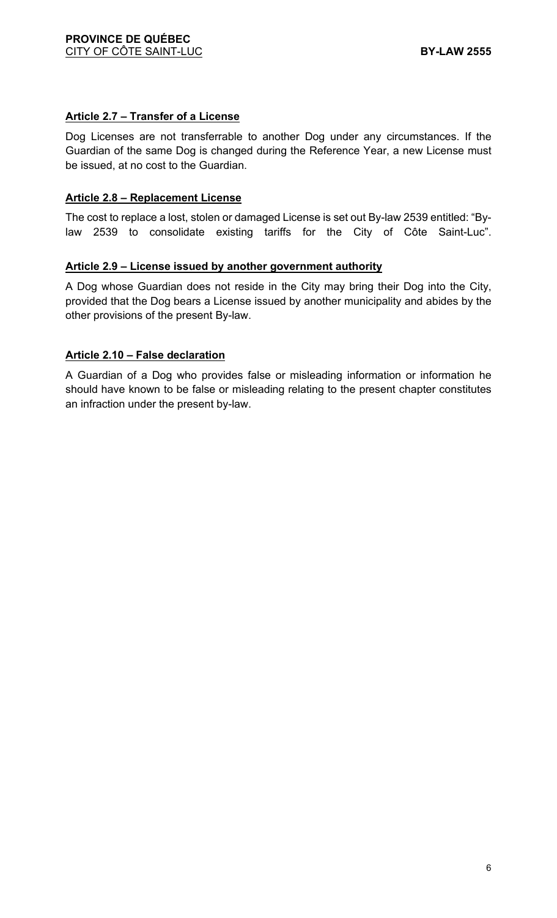### **Article 2.7 – Transfer of a License**

Dog Licenses are not transferrable to another Dog under any circumstances. If the Guardian of the same Dog is changed during the Reference Year, a new License must be issued, at no cost to the Guardian.

### **Article 2.8 – Replacement License**

The cost to replace a lost, stolen or damaged License is set out By-law 2539 entitled: "Bylaw 2539 to consolidate existing tariffs for the City of Côte Saint-Luc".

### **Article 2.9 – License issued by another government authority**

A Dog whose Guardian does not reside in the City may bring their Dog into the City, provided that the Dog bears a License issued by another municipality and abides by the other provisions of the present By-law.

### **Article 2.10 – False declaration**

A Guardian of a Dog who provides false or misleading information or information he should have known to be false or misleading relating to the present chapter constitutes an infraction under the present by-law.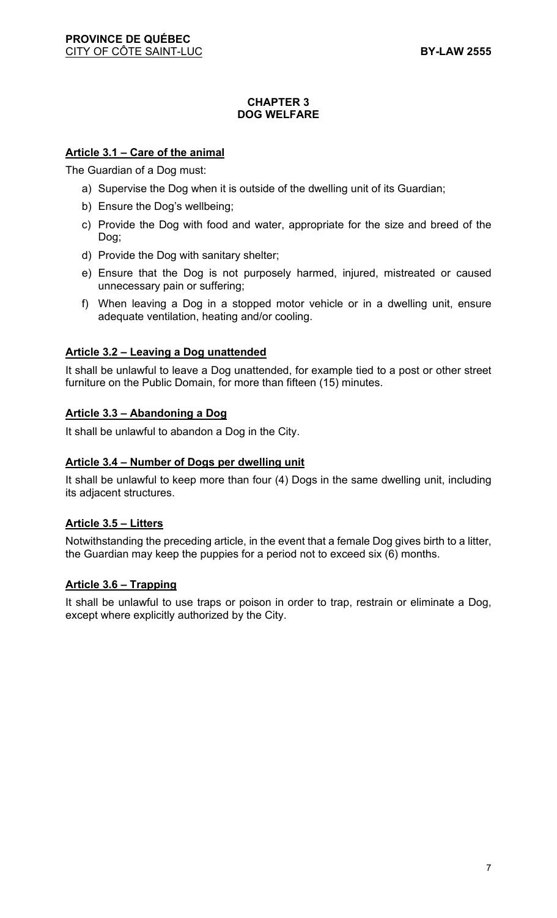#### **CHAPTER 3 DOG WELFARE**

### **Article 3.1 – Care of the animal**

The Guardian of a Dog must:

- a) Supervise the Dog when it is outside of the dwelling unit of its Guardian;
- b) Ensure the Dog's wellbeing;
- c) Provide the Dog with food and water, appropriate for the size and breed of the Dog;
- d) Provide the Dog with sanitary shelter;
- e) Ensure that the Dog is not purposely harmed, injured, mistreated or caused unnecessary pain or suffering;
- f) When leaving a Dog in a stopped motor vehicle or in a dwelling unit, ensure adequate ventilation, heating and/or cooling.

### **Article 3.2 – Leaving a Dog unattended**

It shall be unlawful to leave a Dog unattended, for example tied to a post or other street furniture on the Public Domain, for more than fifteen (15) minutes.

#### **Article 3.3 – Abandoning a Dog**

It shall be unlawful to abandon a Dog in the City.

#### **Article 3.4 – Number of Dogs per dwelling unit**

It shall be unlawful to keep more than four (4) Dogs in the same dwelling unit, including its adjacent structures.

#### **Article 3.5 – Litters**

Notwithstanding the preceding article, in the event that a female Dog gives birth to a litter, the Guardian may keep the puppies for a period not to exceed six (6) months.

#### **Article 3.6 – Trapping**

It shall be unlawful to use traps or poison in order to trap, restrain or eliminate a Dog, except where explicitly authorized by the City.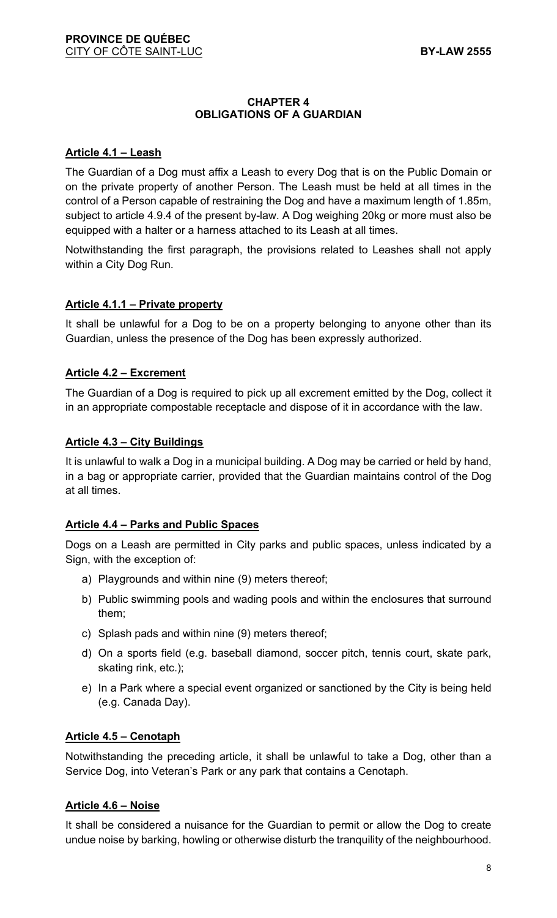### **CHAPTER 4 OBLIGATIONS OF A GUARDIAN**

### **Article 4.1 – Leash**

The Guardian of a Dog must affix a Leash to every Dog that is on the Public Domain or on the private property of another Person. The Leash must be held at all times in the control of a Person capable of restraining the Dog and have a maximum length of 1.85m, subject to article 4.9.4 of the present by-law. A Dog weighing 20kg or more must also be equipped with a halter or a harness attached to its Leash at all times.

Notwithstanding the first paragraph, the provisions related to Leashes shall not apply within a City Dog Run.

### **Article 4.1.1 – Private property**

It shall be unlawful for a Dog to be on a property belonging to anyone other than its Guardian, unless the presence of the Dog has been expressly authorized.

### **Article 4.2 – Excrement**

The Guardian of a Dog is required to pick up all excrement emitted by the Dog, collect it in an appropriate compostable receptacle and dispose of it in accordance with the law.

#### **Article 4.3 – City Buildings**

It is unlawful to walk a Dog in a municipal building. A Dog may be carried or held by hand, in a bag or appropriate carrier, provided that the Guardian maintains control of the Dog at all times.

#### **Article 4.4 – Parks and Public Spaces**

Dogs on a Leash are permitted in City parks and public spaces, unless indicated by a Sign, with the exception of:

- a) Playgrounds and within nine (9) meters thereof;
- b) Public swimming pools and wading pools and within the enclosures that surround them;
- c) Splash pads and within nine (9) meters thereof;
- d) On a sports field (e.g. baseball diamond, soccer pitch, tennis court, skate park, skating rink, etc.);
- e) In a Park where a special event organized or sanctioned by the City is being held (e.g. Canada Day).

#### **Article 4.5 – Cenotaph**

Notwithstanding the preceding article, it shall be unlawful to take a Dog, other than a Service Dog, into Veteran's Park or any park that contains a Cenotaph.

#### **Article 4.6 – Noise**

It shall be considered a nuisance for the Guardian to permit or allow the Dog to create undue noise by barking, howling or otherwise disturb the tranquility of the neighbourhood.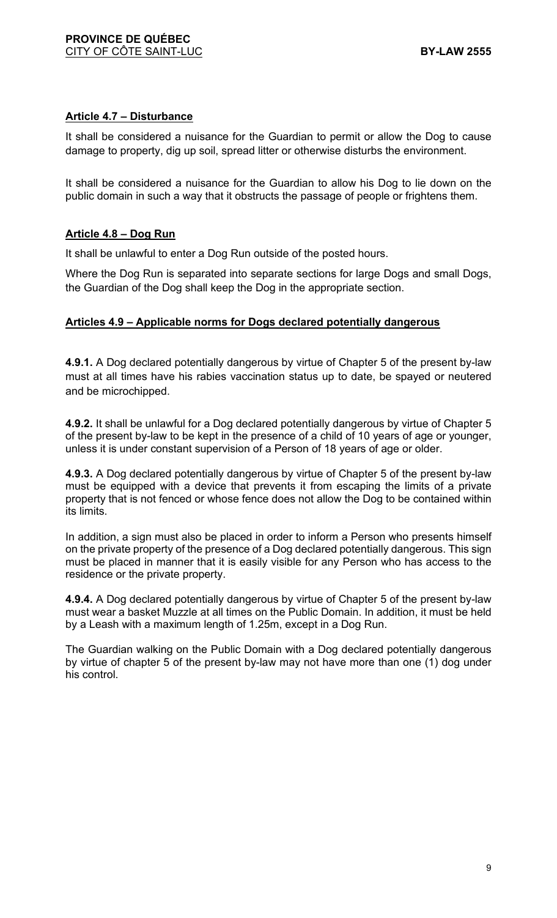### **Article 4.7 – Disturbance**

It shall be considered a nuisance for the Guardian to permit or allow the Dog to cause damage to property, dig up soil, spread litter or otherwise disturbs the environment.

It shall be considered a nuisance for the Guardian to allow his Dog to lie down on the public domain in such a way that it obstructs the passage of people or frightens them.

### **Article 4.8 – Dog Run**

It shall be unlawful to enter a Dog Run outside of the posted hours.

Where the Dog Run is separated into separate sections for large Dogs and small Dogs, the Guardian of the Dog shall keep the Dog in the appropriate section.

#### **Articles 4.9 – Applicable norms for Dogs declared potentially dangerous**

**4.9.1.** A Dog declared potentially dangerous by virtue of Chapter 5 of the present by-law must at all times have his rabies vaccination status up to date, be spayed or neutered and be microchipped.

**4.9.2.** It shall be unlawful for a Dog declared potentially dangerous by virtue of Chapter 5 of the present by-law to be kept in the presence of a child of 10 years of age or younger, unless it is under constant supervision of a Person of 18 years of age or older.

**4.9.3.** A Dog declared potentially dangerous by virtue of Chapter 5 of the present by-law must be equipped with a device that prevents it from escaping the limits of a private property that is not fenced or whose fence does not allow the Dog to be contained within its limits.

In addition, a sign must also be placed in order to inform a Person who presents himself on the private property of the presence of a Dog declared potentially dangerous. This sign must be placed in manner that it is easily visible for any Person who has access to the residence or the private property.

**4.9.4.** A Dog declared potentially dangerous by virtue of Chapter 5 of the present by-law must wear a basket Muzzle at all times on the Public Domain. In addition, it must be held by a Leash with a maximum length of 1.25m, except in a Dog Run.

The Guardian walking on the Public Domain with a Dog declared potentially dangerous by virtue of chapter 5 of the present by-law may not have more than one (1) dog under his control.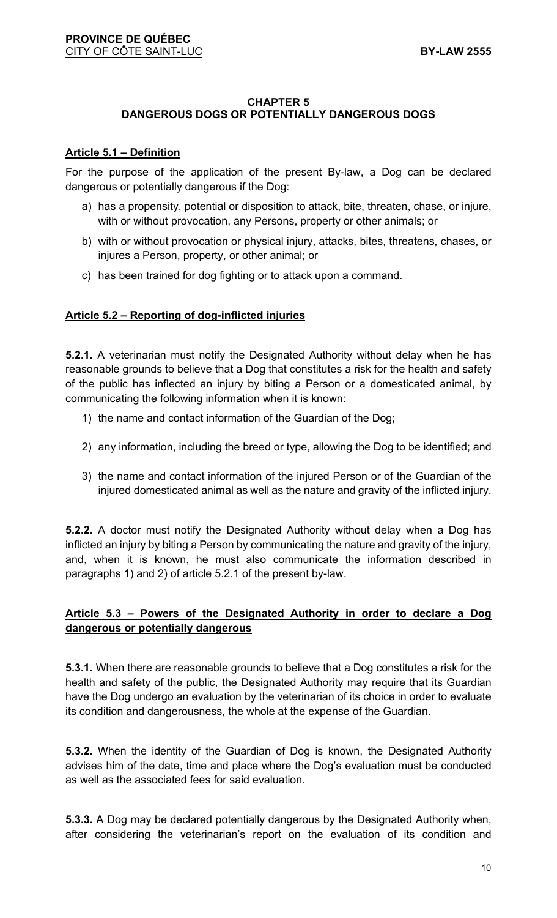#### **CHAPTER 5**

### **DANGEROUS DOGS OR POTENTIALLY DANGEROUS DOGS**

#### **Article 5.1 – Definition**

For the purpose of the application of the present By-law, a Dog can be declared dangerous or potentially dangerous if the Dog:

- a) has a propensity, potential or disposition to attack, bite, threaten, chase, or injure, with or without provocation, any Persons, property or other animals; or
- b) with or without provocation or physical injury, attacks, bites, threatens, chases, or injures a Person, property, or other animal; or
- c) has been trained for dog fighting or to attack upon a command.

#### **Article 5.2 – Reporting of dog-inflicted injuries**

**5.2.1.** A veterinarian must notify the Designated Authority without delay when he has reasonable grounds to believe that a Dog that constitutes a risk for the health and safety of the public has inflected an injury by biting a Person or a domesticated animal, by communicating the following information when it is known:

- 1) the name and contact information of the Guardian of the Dog;
- 2) any information, including the breed or type, allowing the Dog to be identified; and
- 3) the name and contact information of the injured Person or of the Guardian of the injured domesticated animal as well as the nature and gravity of the inflicted injury.

**5.2.2.** A doctor must notify the Designated Authority without delay when a Dog has inflicted an injury by biting a Person by communicating the nature and gravity of the injury, and, when it is known, he must also communicate the information described in paragraphs 1) and 2) of article 5.2.1 of the present by-law.

### **Article 5.3 – Powers of the Designated Authority in order to declare a Dog dangerous or potentially dangerous**

**5.3.1.** When there are reasonable grounds to believe that a Dog constitutes a risk for the health and safety of the public, the Designated Authority may require that its Guardian have the Dog undergo an evaluation by the veterinarian of its choice in order to evaluate its condition and dangerousness, the whole at the expense of the Guardian.

**5.3.2.** When the identity of the Guardian of Dog is known, the Designated Authority advises him of the date, time and place where the Dog's evaluation must be conducted as well as the associated fees for said evaluation.

**5.3.3.** A Dog may be declared potentially dangerous by the Designated Authority when, after considering the veterinarian's report on the evaluation of its condition and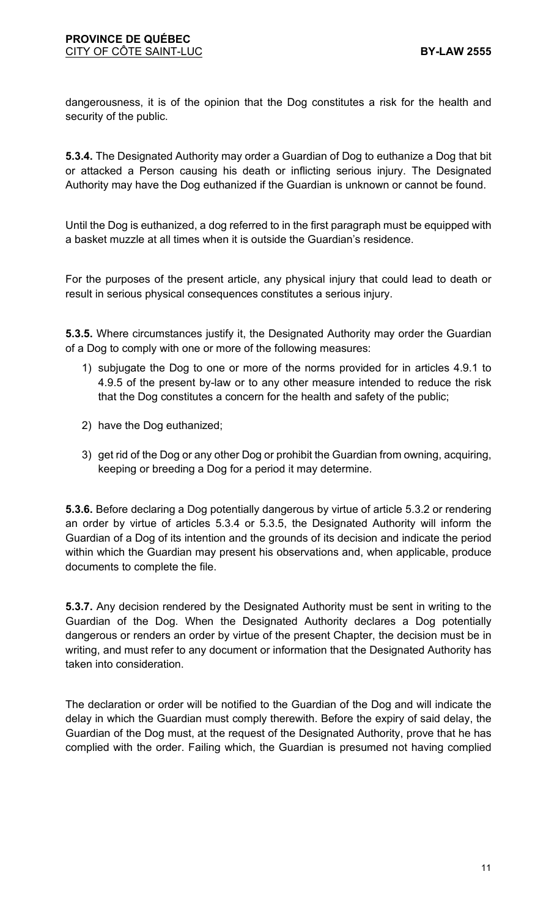dangerousness, it is of the opinion that the Dog constitutes a risk for the health and security of the public.

**5.3.4.** The Designated Authority may order a Guardian of Dog to euthanize a Dog that bit or attacked a Person causing his death or inflicting serious injury. The Designated Authority may have the Dog euthanized if the Guardian is unknown or cannot be found.

Until the Dog is euthanized, a dog referred to in the first paragraph must be equipped with a basket muzzle at all times when it is outside the Guardian's residence.

For the purposes of the present article, any physical injury that could lead to death or result in serious physical consequences constitutes a serious injury.

**5.3.5.** Where circumstances justify it, the Designated Authority may order the Guardian of a Dog to comply with one or more of the following measures:

- 1) subjugate the Dog to one or more of the norms provided for in articles 4.9.1 to 4.9.5 of the present by-law or to any other measure intended to reduce the risk that the Dog constitutes a concern for the health and safety of the public;
- 2) have the Dog euthanized;
- 3) get rid of the Dog or any other Dog or prohibit the Guardian from owning, acquiring, keeping or breeding a Dog for a period it may determine.

**5.3.6.** Before declaring a Dog potentially dangerous by virtue of article 5.3.2 or rendering an order by virtue of articles 5.3.4 or 5.3.5, the Designated Authority will inform the Guardian of a Dog of its intention and the grounds of its decision and indicate the period within which the Guardian may present his observations and, when applicable, produce documents to complete the file.

**5.3.7.** Any decision rendered by the Designated Authority must be sent in writing to the Guardian of the Dog. When the Designated Authority declares a Dog potentially dangerous or renders an order by virtue of the present Chapter, the decision must be in writing, and must refer to any document or information that the Designated Authority has taken into consideration.

The declaration or order will be notified to the Guardian of the Dog and will indicate the delay in which the Guardian must comply therewith. Before the expiry of said delay, the Guardian of the Dog must, at the request of the Designated Authority, prove that he has complied with the order. Failing which, the Guardian is presumed not having complied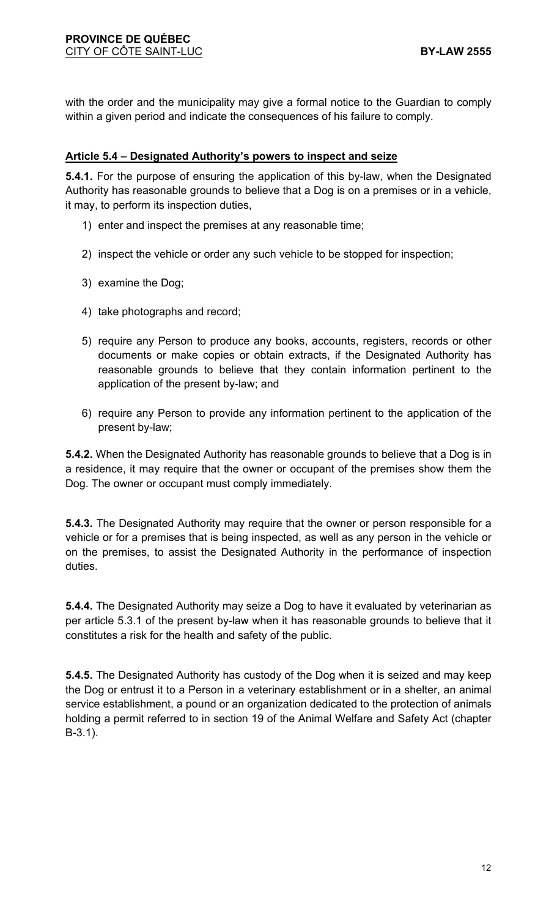with the order and the municipality may give a formal notice to the Guardian to comply within a given period and indicate the consequences of his failure to comply.

### **Article 5.4 – Designated Authority's powers to inspect and seize**

**5.4.1.** For the purpose of ensuring the application of this by-law, when the Designated Authority has reasonable grounds to believe that a Dog is on a premises or in a vehicle, it may, to perform its inspection duties,

- 1) enter and inspect the premises at any reasonable time;
- 2) inspect the vehicle or order any such vehicle to be stopped for inspection;
- 3) examine the Dog;
- 4) take photographs and record;
- 5) require any Person to produce any books, accounts, registers, records or other documents or make copies or obtain extracts, if the Designated Authority has reasonable grounds to believe that they contain information pertinent to the application of the present by-law; and
- 6) require any Person to provide any information pertinent to the application of the present by-law;

**5.4.2.** When the Designated Authority has reasonable grounds to believe that a Dog is in a residence, it may require that the owner or occupant of the premises show them the Dog. The owner or occupant must comply immediately.

**5.4.3.** The Designated Authority may require that the owner or person responsible for a vehicle or for a premises that is being inspected, as well as any person in the vehicle or on the premises, to assist the Designated Authority in the performance of inspection duties.

**5.4.4.** The Designated Authority may seize a Dog to have it evaluated by veterinarian as per article 5.3.1 of the present by-law when it has reasonable grounds to believe that it constitutes a risk for the health and safety of the public.

**5.4.5.** The Designated Authority has custody of the Dog when it is seized and may keep the Dog or entrust it to a Person in a veterinary establishment or in a shelter, an animal service establishment, a pound or an organization dedicated to the protection of animals holding a permit referred to in section 19 of the Animal Welfare and Safety Act (chapter B-3.1).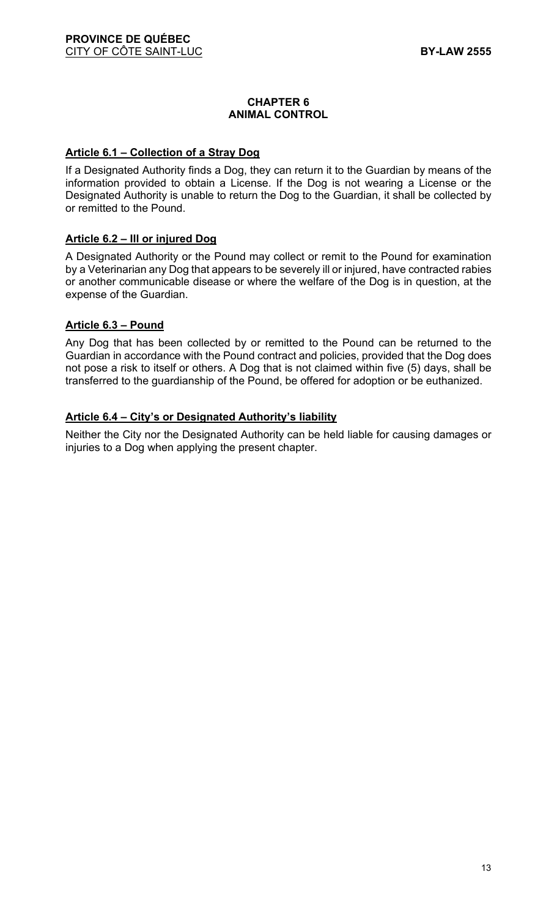### **CHAPTER 6 ANIMAL CONTROL**

#### **Article 6.1 – Collection of a Stray Dog**

If a Designated Authority finds a Dog, they can return it to the Guardian by means of the information provided to obtain a License. If the Dog is not wearing a License or the Designated Authority is unable to return the Dog to the Guardian, it shall be collected by or remitted to the Pound.

#### **Article 6.2 – Ill or injured Dog**

A Designated Authority or the Pound may collect or remit to the Pound for examination by a Veterinarian any Dog that appears to be severely ill or injured, have contracted rabies or another communicable disease or where the welfare of the Dog is in question, at the expense of the Guardian.

#### **Article 6.3 – Pound**

Any Dog that has been collected by or remitted to the Pound can be returned to the Guardian in accordance with the Pound contract and policies, provided that the Dog does not pose a risk to itself or others. A Dog that is not claimed within five (5) days, shall be transferred to the guardianship of the Pound, be offered for adoption or be euthanized.

#### **Article 6.4 – City's or Designated Authority's liability**

Neither the City nor the Designated Authority can be held liable for causing damages or injuries to a Dog when applying the present chapter.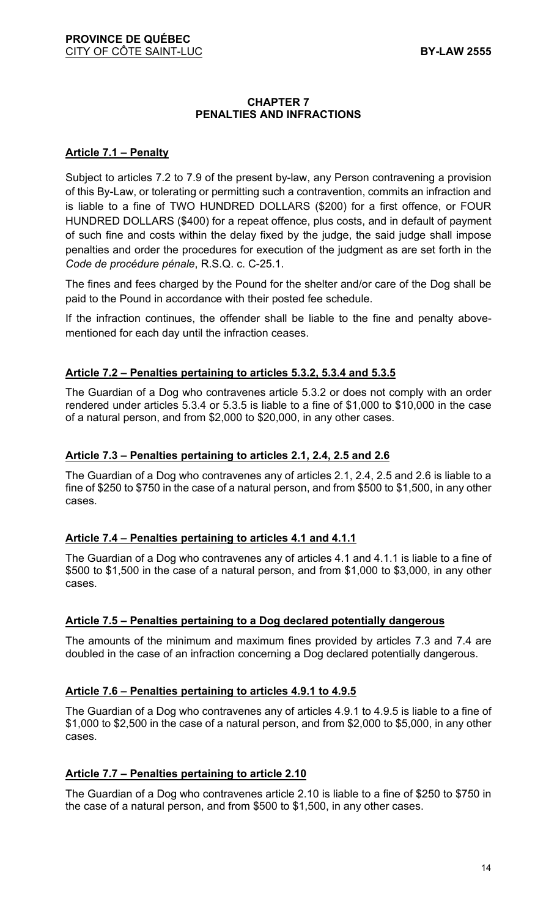### **CHAPTER 7 PENALTIES AND INFRACTIONS**

### **Article 7.1 – Penalty**

Subject to articles 7.2 to 7.9 of the present by-law, any Person contravening a provision of this By-Law, or tolerating or permitting such a contravention, commits an infraction and is liable to a fine of TWO HUNDRED DOLLARS (\$200) for a first offence, or FOUR HUNDRED DOLLARS (\$400) for a repeat offence, plus costs, and in default of payment of such fine and costs within the delay fixed by the judge, the said judge shall impose penalties and order the procedures for execution of the judgment as are set forth in the *Code de procédure pénale*, R.S.Q. c. C-25.1.

The fines and fees charged by the Pound for the shelter and/or care of the Dog shall be paid to the Pound in accordance with their posted fee schedule.

If the infraction continues, the offender shall be liable to the fine and penalty abovementioned for each day until the infraction ceases.

### **Article 7.2 – Penalties pertaining to articles 5.3.2, 5.3.4 and 5.3.5**

The Guardian of a Dog who contravenes article 5.3.2 or does not comply with an order rendered under articles 5.3.4 or 5.3.5 is liable to a fine of \$1,000 to \$10,000 in the case of a natural person, and from \$2,000 to \$20,000, in any other cases.

#### **Article 7.3 – Penalties pertaining to articles 2.1, 2.4, 2.5 and 2.6**

The Guardian of a Dog who contravenes any of articles 2.1, 2.4, 2.5 and 2.6 is liable to a fine of \$250 to \$750 in the case of a natural person, and from \$500 to \$1,500, in any other cases.

#### **Article 7.4 – Penalties pertaining to articles 4.1 and 4.1.1**

The Guardian of a Dog who contravenes any of articles 4.1 and 4.1.1 is liable to a fine of \$500 to \$1,500 in the case of a natural person, and from \$1,000 to \$3,000, in any other cases.

#### **Article 7.5 – Penalties pertaining to a Dog declared potentially dangerous**

The amounts of the minimum and maximum fines provided by articles 7.3 and 7.4 are doubled in the case of an infraction concerning a Dog declared potentially dangerous.

### **Article 7.6 – Penalties pertaining to articles 4.9.1 to 4.9.5**

The Guardian of a Dog who contravenes any of articles 4.9.1 to 4.9.5 is liable to a fine of \$1,000 to \$2,500 in the case of a natural person, and from \$2,000 to \$5,000, in any other cases.

### **Article 7.7 – Penalties pertaining to article 2.10**

The Guardian of a Dog who contravenes article 2.10 is liable to a fine of \$250 to \$750 in the case of a natural person, and from \$500 to \$1,500, in any other cases.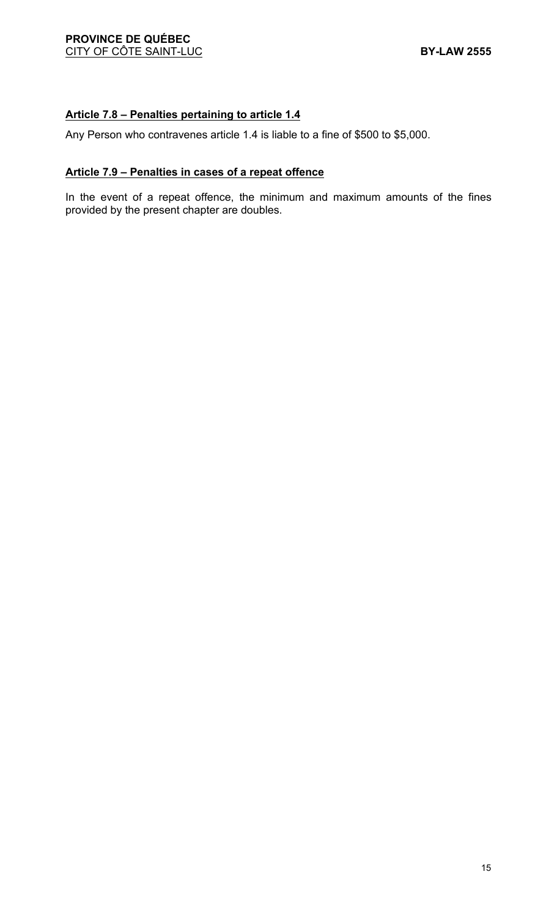# **Article 7.8 – Penalties pertaining to article 1.4**

Any Person who contravenes article 1.4 is liable to a fine of \$500 to \$5,000.

#### **Article 7.9 – Penalties in cases of a repeat offence**

In the event of a repeat offence, the minimum and maximum amounts of the fines provided by the present chapter are doubles.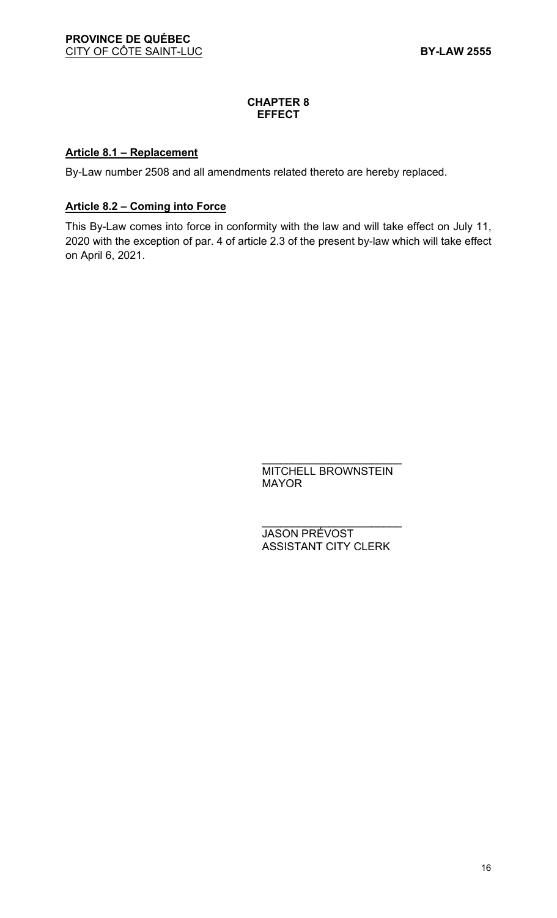#### **CHAPTER 8 EFFECT**

### **Article 8.1 – Replacement**

By-Law number 2508 and all amendments related thereto are hereby replaced.

### **Article 8.2 – Coming into Force**

This By-Law comes into force in conformity with the law and will take effect on July 11, 2020 with the exception of par. 4 of article 2.3 of the present by-law which will take effect on April 6, 2021.

> \_\_\_\_\_\_\_\_\_\_\_\_\_\_\_\_\_\_\_\_\_\_\_ MITCHELL BROWNSTEIN MAYOR

> \_\_\_\_\_\_\_\_\_\_\_\_\_\_\_\_\_\_\_\_\_\_\_ JASON PRÉVOST ASSISTANT CITY CLERK